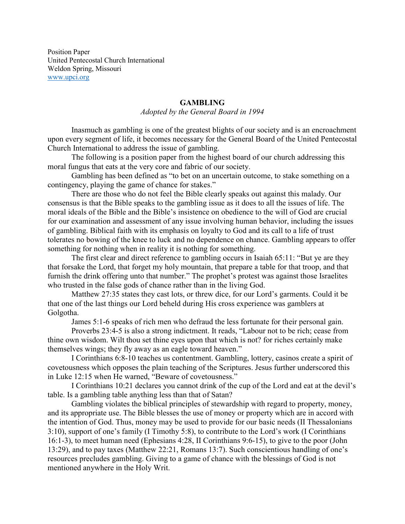Position Paper United Pentecostal Church International Weldon Spring, Missouri [www.upci.org](http://www.upci.org/)

## **GAMBLING**

*Adopted by the General Board in 1994*

Inasmuch as gambling is one of the greatest blights of our society and is an encroachment upon every segment of life, it becomes necessary for the General Board of the United Pentecostal Church International to address the issue of gambling.

The following is a position paper from the highest board of our church addressing this moral fungus that eats at the very core and fabric of our society.

Gambling has been defined as "to bet on an uncertain outcome, to stake something on a contingency, playing the game of chance for stakes."

There are those who do not feel the Bible clearly speaks out against this malady. Our consensus is that the Bible speaks to the gambling issue as it does to all the issues of life. The moral ideals of the Bible and the Bible's insistence on obedience to the will of God are crucial for our examination and assessment of any issue involving human behavior, including the issues of gambling. Biblical faith with its emphasis on loyalty to God and its call to a life of trust tolerates no bowing of the knee to luck and no dependence on chance. Gambling appears to offer something for nothing when in reality it is nothing for something.

The first clear and direct reference to gambling occurs in Isaiah 65:11: "But ye are they that forsake the Lord, that forget my holy mountain, that prepare a table for that troop, and that furnish the drink offering unto that number." The prophet's protest was against those Israelites who trusted in the false gods of chance rather than in the living God.

Matthew 27:35 states they cast lots, or threw dice, for our Lord's garments. Could it be that one of the last things our Lord beheld during His cross experience was gamblers at Golgotha.

James 5:1-6 speaks of rich men who defraud the less fortunate for their personal gain.

Proverbs 23:4-5 is also a strong indictment. It reads, "Labour not to be rich; cease from thine own wisdom. Wilt thou set thine eyes upon that which is not? for riches certainly make themselves wings; they fly away as an eagle toward heaven."

I Corinthians 6:8-10 teaches us contentment. Gambling, lottery, casinos create a spirit of covetousness which opposes the plain teaching of the Scriptures. Jesus further underscored this in Luke 12:15 when He warned, "Beware of covetousness."

I Corinthians 10:21 declares you cannot drink of the cup of the Lord and eat at the devil's table. Is a gambling table anything less than that of Satan?

Gambling violates the biblical principles of stewardship with regard to property, money, and its appropriate use. The Bible blesses the use of money or property which are in accord with the intention of God. Thus, money may be used to provide for our basic needs (II Thessalonians 3:10), support of one's family (I Timothy 5:8), to contribute to the Lord's work (I Corinthians 16:1-3), to meet human need (Ephesians 4:28, II Corinthians 9:6-15), to give to the poor (John 13:29), and to pay taxes (Matthew 22:21, Romans 13:7). Such conscientious handling of one's resources precludes gambling. Giving to a game of chance with the blessings of God is not mentioned anywhere in the Holy Writ.